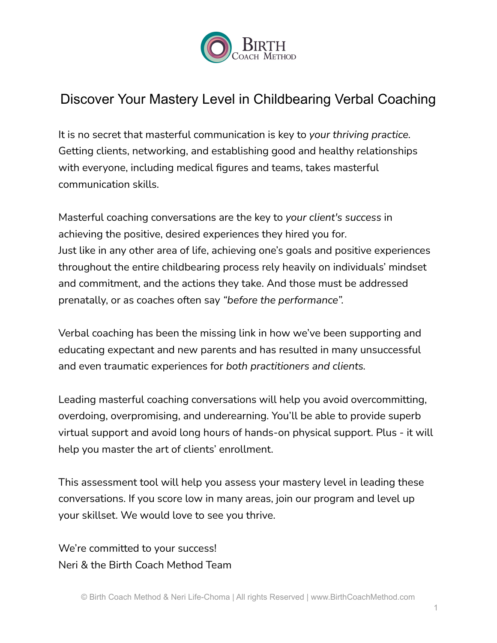

# Discover Your Mastery Level in Childbearing Verbal Coaching

It is no secret that masterful communication is key to *your thriving practice.* Getting clients, networking, and establishing good and healthy relationships with everyone, including medical figures and teams, takes masterful communication skills.

Masterful coaching conversations are the key to *your client's success* in achieving the positive, desired experiences they hired you for. Just like in any other area of life, achieving one's goals and positive experiences throughout the entire childbearing process rely heavily on individuals' mindset and commitment, and the actions they take. And those must be addressed prenatally, or as coaches often say *"before the performance".*

Verbal coaching has been the missing link in how we've been supporting and educating expectant and new parents and has resulted in many unsuccessful and even traumatic experiences for *both practitioners and clients.*

Leading masterful coaching conversations will help you avoid overcommitting, overdoing, overpromising, and underearning. You'll be able to provide superb virtual support and avoid long hours of hands-on physical support. Plus - it will help you master the art of clients' enrollment.

This assessment tool will help you assess your mastery level in leading these conversations. If you score low in many areas, join our program and level up your skillset. We would love to see you thrive.

We're committed to your success! Neri & the Birth Coach Method Team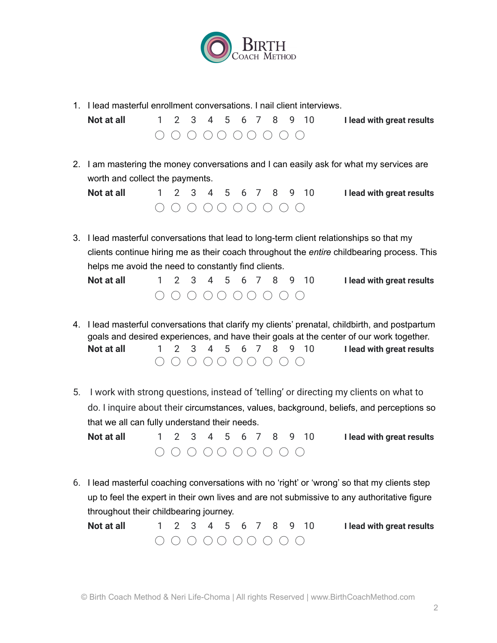

1. I lead masterful enrollment conversations. I nail client interviews.

| Not at all |  |  |  |  |  | 1 2 3 4 5 6 7 8 9 10 I lead with great results |
|------------|--|--|--|--|--|------------------------------------------------|
|            |  |  |  |  |  |                                                |

2. I am mastering the money conversations and I can easily ask for what my services are worth and collect the payments.

| Not at all |  |  |  |  | 1 2 3 4 5 6 7 8 9 10 | I lead with great results |
|------------|--|--|--|--|----------------------|---------------------------|
|            |  |  |  |  |                      |                           |

3. I lead masterful conversations that lead to long-term client relationships so that my clients continue hiring me as their coach throughout the *entire* childbearing process. This helps me avoid the need to constantly find clients.

| Not at all |  |  |  |  | 1 2 3 4 5 6 7 8 9 10 | I lead with great results |
|------------|--|--|--|--|----------------------|---------------------------|
|            |  |  |  |  |                      |                           |

- 4. I lead masterful conversations that clarify my clients' prenatal, childbirth, and postpartum goals and desired experiences, and have their goals at the center of our work together. **Not at all** 1 2 3 4 5 6 7 8 9 10 **I lead with great results**  $\begin{array}{c}\n0 & 0 & 0 & 0 & 0 & 0 & 0 & 0 \\
0 & 0 & 0 & 0 & 0 & 0 & 0 & 0\n\end{array}$
- 5. I work with strong questions, instead of 'telling' or directing my clients on what to do. I inquire about their circumstances, values, background, beliefs, and perceptions so that we all can fully understand their needs.
	- **Not at all** 1 2 3 4 5 6 7 8 9 10 **I lead with great results**  $\begin{array}{c}\n0 & 0 & 0 & 0 & 0 & 0 & 0 \\
	0 & 0 & 0 & 0 & 0 & 0 & 0 & 0\n\end{array}$
- 6. I lead masterful coaching conversations with no 'right' or 'wrong' so that my clients step up to feel the expert in their own lives and are not submissive to any authoritative figure throughout their childbearing journey.

| Not at all |                         |  |  |  |  | 1 2 3 4 5 6 7 8 9 10 | I lead with great results |
|------------|-------------------------|--|--|--|--|----------------------|---------------------------|
|            | $0 0 0 0 0 0 0 0 0 0 0$ |  |  |  |  |                      |                           |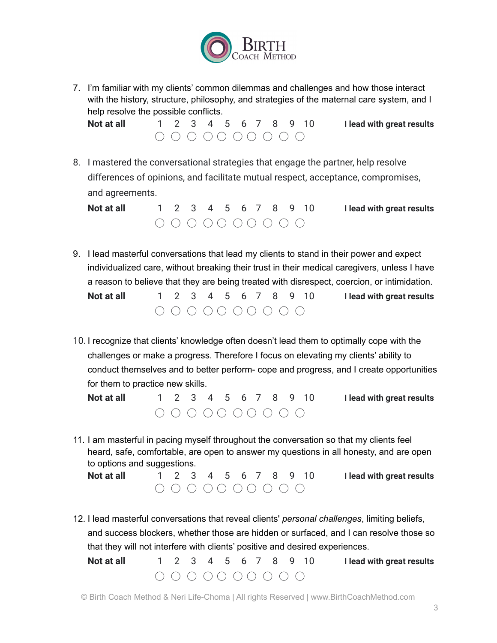

7. I'm familiar with my clients' common dilemmas and challenges and how those interact with the history, structure, philosophy, and strategies of the maternal care system, and I help resolve the possible conflicts.

**Not at all** 1 2 3 4 5 6 7 8 9 10 **I lead with great results** ◯ ◯ ◯ ◯ ◯ ◯ ◯ ◯ ◯ ◯

8. I mastered the conversational strategies that engage the partner, help resolve differences of opinions, and facilitate mutual respect, acceptance, compromises, and agreements.

| Not at all |                         |  |  |  |  | 1 2 3 4 5 6 7 8 9 10 | I lead with great results |
|------------|-------------------------|--|--|--|--|----------------------|---------------------------|
|            | $0 0 0 0 0 0 0 0 0 0 0$ |  |  |  |  |                      |                           |

- 9. I lead masterful conversations that lead my clients to stand in their power and expect individualized care, without breaking their trust in their medical caregivers, unless I have a reason to believe that they are being treated with disrespect, coercion, or intimidation. **Not at all** 1 2 3 4 5 6 7 8 9 10 **I lead with great results** ◯ ◯ ◯ ◯ ◯ ◯ ◯ ◯ ◯ ◯
- 10. I recognize that clients' knowledge often doesn't lead them to optimally cope with the challenges or make a progress. Therefore I focus on elevating my clients' ability to conduct themselves and to better perform- cope and progress, and I create opportunities for them to practice new skills.
	- **Not at all** 1 2 3 4 5 6 7 8 9 10 **I lead with great results**  $\bigcirc$   $\bigcirc$   $\bigcirc$   $\bigcirc$   $\bigcirc$   $\bigcirc$   $\bigcirc$   $\bigcirc$   $\bigcirc$   $\bigcirc$   $\bigcirc$   $\bigcirc$
- 11. I am masterful in pacing myself throughout the conversation so that my clients feel heard, safe, comfortable, are open to answer my questions in all honesty, and are open to options and suggestions.
	- **Not at all** 1 2 3 4 5 6 7 8 9 10 **I lead with great results** ◯ ◯ ◯ ◯ ◯ ◯ ◯ ◯ ◯ ◯
- 12. I lead masterful conversations that reveal clients' *personal challenges*, limiting beliefs, and success blockers, whether those are hidden or surfaced, and I can resolve those so that they will not interfere with clients' positive and desired experiences.

**Not at all** 1 2 3 4 5 6 7 8 9 10 **I lead with great results**  $\begin{array}{c}\n0 & 0 & 0 & 0 & 0 & 0 & 0 & 0 \\
0 & 0 & 0 & 0 & 0 & 0 & 0 & 0\n\end{array}$ 

© Birth Coach Method & Neri Life-Choma | All rights Reserved | www.BirthCoachMethod.com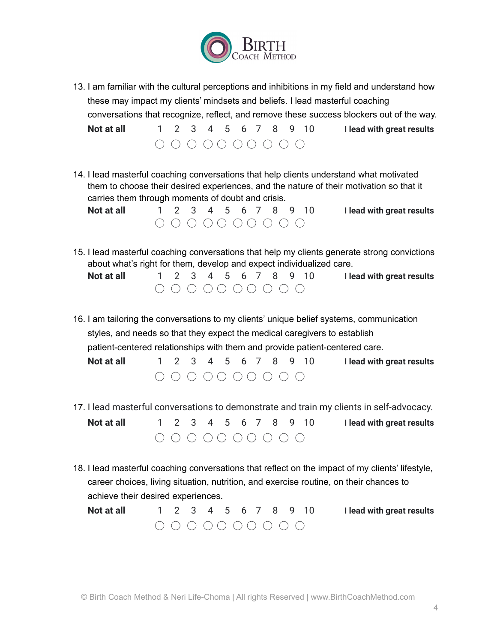

13. I am familiar with the cultural perceptions and inhibitions in my field and understand how these may impact my clients' mindsets and beliefs. I lead masterful coaching conversations that recognize, reflect, and remove these success blockers out of the way.

**Not at all** 1 2 3 4 5 6 7 8 9 10 **I lead with great results**  $\begin{array}{c}\n\bigcap_{i=1}^n A_i \cap \bigcap_{i=1}^n A_i \cap \bigcap_{i=1}^n B_i \cap \bigcap_{i=1}^n B_i \cap \bigcap_{i=1}^n B_i \end{array}$ 

14. I lead masterful coaching conversations that help clients understand what motivated them to choose their desired experiences, and the nature of their motivation so that it carries them through moments of doubt and crisis.

**Not at all** 1 2 3 4 5 6 7 8 9 10 **I lead with great results**  $\begin{array}{c}\n0 & 0 & 0 & 0 & 0 & 0 & 0 & 0 \\
0 & 0 & 0 & 0 & 0 & 0 & 0 & 0\n\end{array}$ 

15. I lead masterful coaching conversations that help my clients generate strong convictions about what's right for them, develop and expect individualized care.

**Not at all** 1 2 3 4 5 6 7 8 9 10 **I lead with great results**  $\begin{array}{c}\n\bigcap_{i=1}^n A_i \cap \bigcap_{i=1}^n B_i \cap \bigcap_{i=1}^n B_i \cap \bigcap_{i=1}^n B_i \cap \bigcap_{i=1}^n B_i \cap \bigcap_{i=1}^n B_i \end{array}$ 

16. I am tailoring the conversations to my clients' unique belief systems, communication styles, and needs so that they expect the medical caregivers to establish patient-centered relationships with them and provide patient-centered care. **Not at all** 1 2 3 4 5 6 7 8 9 10 **I lead with great results**

◯ ◯ ◯ ◯ ◯ ◯ ◯ ◯ ◯ ◯

17. I lead masterful conversations to demonstrate and train my clients in self-advocacy.

**Not at all** 1 2 3 4 5 6 7 8 9 10 **I lead with great results** ◯ ◯ ◯ ◯ ◯ ◯ ◯ ◯ ◯ ◯

18. I lead masterful coaching conversations that reflect on the impact of my clients' lifestyle, career choices, living situation, nutrition, and exercise routine, on their chances to achieve their desired experiences.

| Not at all |            |  |  |  |  | 1 2 3 4 5 6 7 8 9 10 I lead with great results |
|------------|------------|--|--|--|--|------------------------------------------------|
|            | 0000000000 |  |  |  |  |                                                |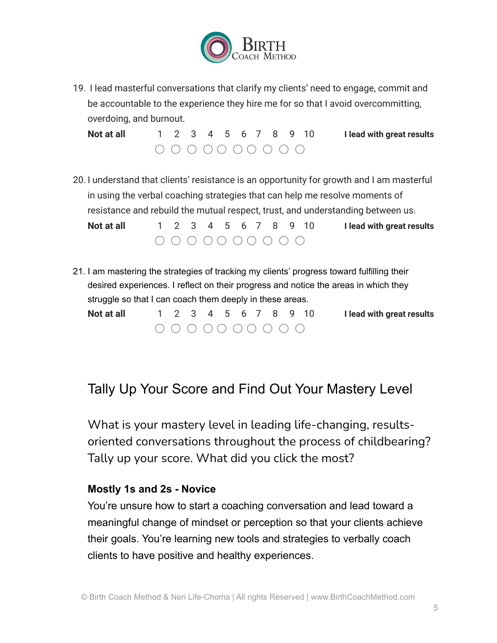

19. I lead masterful conversations that clarify my clients' need to engage, commit and be accountable to the experience they hire me for so that I avoid overcommitting, overdoing, and burnout.

**Not at all** 1 2 3 4 5 6 7 8 9 10 **I lead with great results**  $\begin{array}{c}\n0 & 0 & 0 & 0 & 0 & 0 & 0 \\
0 & 0 & 0 & 0 & 0 & 0 & 0 & 0\n\end{array}$ 

20. I understand that clients' resistance is an opportunity for growth and I am masterful in using the verbal coaching strategies that can help me resolve moments of resistance and rebuild the mutual respect, trust, and understanding between us.

**Not at all** 1 2 3 4 5 6 7 8 9 10 **I lead with great results** ◯ ◯ ◯ ◯ ◯ ◯ ◯ ◯ ◯ ◯

21. I am mastering the strategies of tracking my clients' progress toward fulfilling their desired experiences. I reflect on their progress and notice the areas in which they struggle so that I can coach them deeply in these areas.

**Not at all** 1 2 3 4 5 6 7 8 9 10 **I lead with great results** ◯ ◯ ◯ ◯ ◯ ◯ ◯ ◯ ◯ ◯

## Tally Up Your Score and Find Out Your Mastery Level

What is your mastery level in leading life-changing, resultsoriented conversations throughout the process of childbearing? Tally up your score. What did you click the most?

#### **Mostly 1s and 2s - Novice**

You're unsure how to start a coaching conversation and lead toward a meaningful change of mindset or perception so that your clients achieve their goals. You're learning new tools and strategies to verbally coach clients to have positive and healthy experiences.